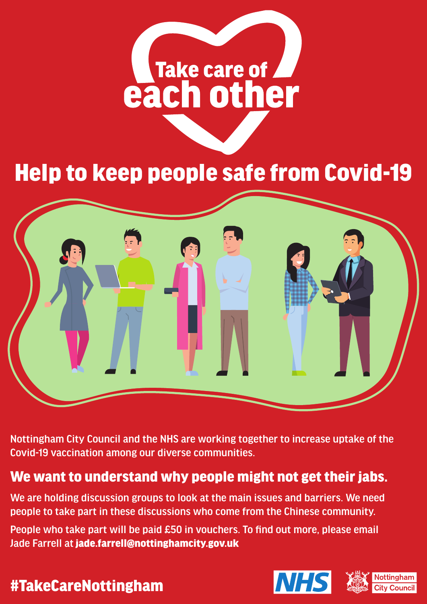# Take care of July 1

### Help to keep people safe from Covid-19



Nottingham City Council and the NHS are working together to increase uptake of the Covid-19 vaccination among our diverse communities.

### We want to understand why people might not get their jabs.

We are holding discussion groups to look at the main issues and barriers. We need people to take part in these discussions who come from the Chinese community.

People who take part will be paid £50 in vouchers. To find out more, please email Jade Farrell at jade.farrell@nottinghamcity.gov.uk

### #TakeCareNottingham